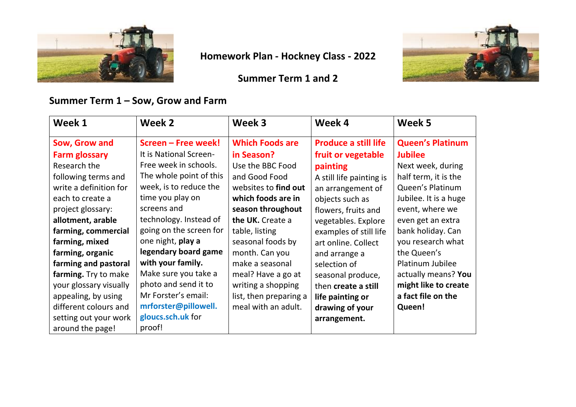

# **Homework Plan - Hockney Class - 2022**

### **Summer Term 1 and 2**



### **Summer Term 1 – Sow, Grow and Farm**

| Week 1                 | Week 2                  | Week 3                 | Week 4                      | Week 5                  |
|------------------------|-------------------------|------------------------|-----------------------------|-------------------------|
| Sow, Grow and          | Screen - Free week!     | <b>Which Foods are</b> | <b>Produce a still life</b> | <b>Queen's Platinum</b> |
| <b>Farm glossary</b>   | It is National Screen-  | in Season?             | fruit or vegetable          | <b>Jubilee</b>          |
| Research the           | Free week in schools.   | Use the BBC Food       | painting                    | Next week, during       |
| following terms and    | The whole point of this | and Good Food          | A still life painting is    | half term, it is the    |
| write a definition for | week, is to reduce the  | websites to find out   | an arrangement of           | Queen's Platinum        |
| each to create a       | time you play on        | which foods are in     | objects such as             | Jubilee. It is a huge   |
| project glossary:      | screens and             | season throughout      | flowers, fruits and         | event, where we         |
| allotment, arable      | technology. Instead of  | the UK. Create a       | vegetables. Explore         | even get an extra       |
| farming, commercial    | going on the screen for | table, listing         | examples of still life      | bank holiday. Can       |
| farming, mixed         | one night, play a       | seasonal foods by      | art online. Collect         | you research what       |
| farming, organic       | legendary board game    | month. Can you         | and arrange a               | the Queen's             |
| farming and pastoral   | with your family.       | make a seasonal        | selection of                | Platinum Jubilee        |
| farming. Try to make   | Make sure you take a    | meal? Have a go at     | seasonal produce,           | actually means? You     |
| your glossary visually | photo and send it to    | writing a shopping     | then create a still         | might like to create    |
| appealing, by using    | Mr Forster's email:     | list, then preparing a | life painting or            | a fact file on the      |
| different colours and  | mrforster@pillowell.    | meal with an adult.    | drawing of your             | Queen!                  |
| setting out your work  | gloucs.sch.uk for       |                        | arrangement.                |                         |
| around the page!       | proof!                  |                        |                             |                         |